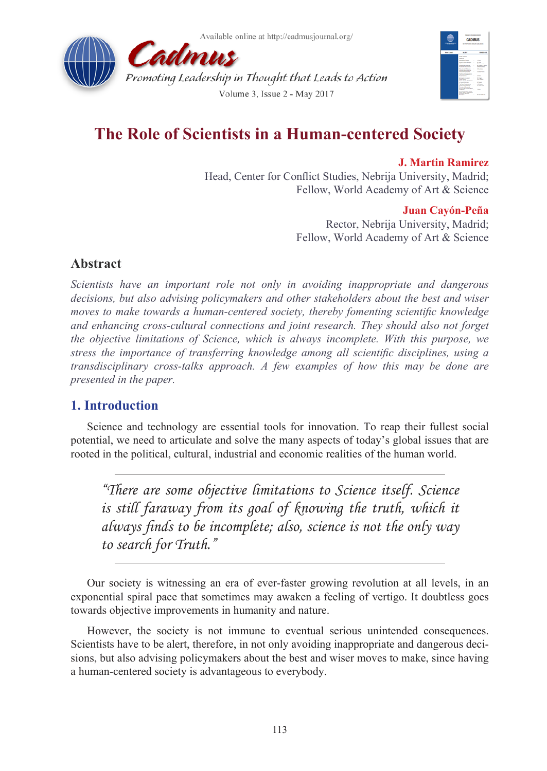



# **The Role of Scientists in a Human-centered Society**

**J. Martin Ramirez** Head, Center for Conflict Studies, Nebrija University, Madrid; Fellow, World Academy of Art & Science

### **Juan Cayón-Peña**

Rector, Nebrija University, Madrid; Fellow, World Academy of Art & Science

# **Abstract**

*Scientists have an important role not only in avoiding inappropriate and dangerous decisions, but also advising policymakers and other stakeholders about the best and wiser moves to make towards a human-centered society, thereby fomenting scientific knowledge and enhancing cross-cultural connections and joint research. They should also not forget the objective limitations of Science, which is always incomplete. With this purpose, we stress the importance of transferring knowledge among all scientific disciplines, using a transdisciplinary cross-talks approach. A few examples of how this may be done are presented in the paper.*

### **1. Introduction**

Science and technology are essential tools for innovation. To reap their fullest social potential, we need to articulate and solve the many aspects of today's global issues that are rooted in the political, cultural, industrial and economic realities of the human world.

*"There are some objective limitations to Science itself. Science*  is still faraway from its goal of knowing the truth, which it *always finds to be incomplete; also, science is not the only way to search for Truth."*

Our society is witnessing an era of ever-faster growing revolution at all levels, in an exponential spiral pace that sometimes may awaken a feeling of vertigo. It doubtless goes towards objective improvements in humanity and nature.

However, the society is not immune to eventual serious unintended consequences. Scientists have to be alert, therefore, in not only avoiding inappropriate and dangerous decisions, but also advising policymakers about the best and wiser moves to make, since having a human-centered society is advantageous to everybody.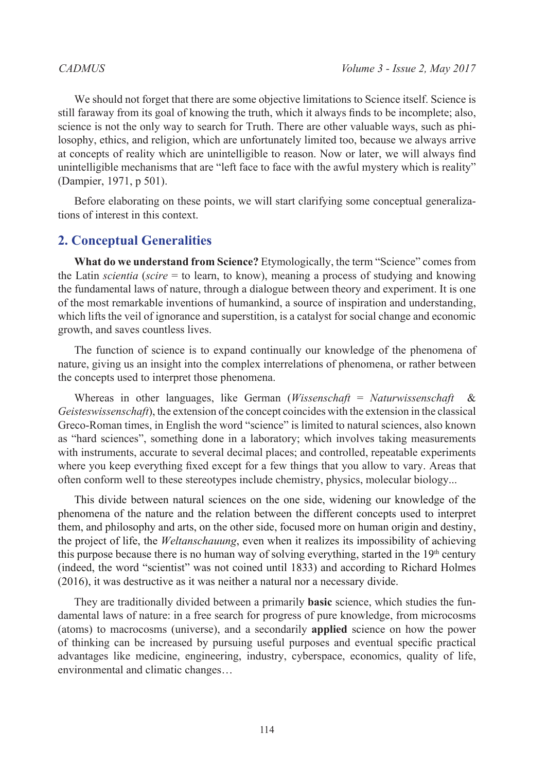We should not forget that there are some objective limitations to Science itself. Science is still faraway from its goal of knowing the truth, which it always finds to be incomplete; also, science is not the only way to search for Truth. There are other valuable ways, such as philosophy, ethics, and religion, which are unfortunately limited too, because we always arrive at concepts of reality which are unintelligible to reason. Now or later, we will always find unintelligible mechanisms that are "left face to face with the awful mystery which is reality" (Dampier, 1971, p 501).

Before elaborating on these points, we will start clarifying some conceptual generalizations of interest in this context.

# **2. Conceptual Generalities**

**What do we understand from Science?** Etymologically, the term "Science" comes from the Latin *scientia* (*scire* = to learn, to know), meaning a process of studying and knowing the fundamental laws of nature, through a dialogue between theory and experiment. It is one of the most remarkable inventions of humankind, a source of inspiration and understanding, which lifts the veil of ignorance and superstition, is a catalyst for social change and economic growth, and saves countless lives.

The function of science is to expand continually our knowledge of the phenomena of nature, giving us an insight into the complex interrelations of phenomena, or rather between the concepts used to interpret those phenomena.

Whereas in other languages, like German (*Wissenschaft* = *Naturwissenschaft* & *Geisteswissenschaft*), the extension of the concept coincides with the extension in the classical Greco-Roman times, in English the word "science" is limited to natural sciences, also known as "hard sciences", something done in a laboratory; which involves taking measurements with instruments, accurate to several decimal places; and controlled, repeatable experiments where you keep everything fixed except for a few things that you allow to vary. Areas that often conform well to these stereotypes include chemistry, physics, molecular biology...

This divide between natural sciences on the one side, widening our knowledge of the phenomena of the nature and the relation between the different concepts used to interpret them, and philosophy and arts, on the other side, focused more on human origin and destiny, the project of life, the *Weltanschauung*, even when it realizes its impossibility of achieving this purpose because there is no human way of solving everything, started in the  $19<sup>th</sup>$  century (indeed, the word "scientist" was not coined until 1833) and according to Richard Holmes (2016), it was destructive as it was neither a natural nor a necessary divide.

They are traditionally divided between a primarily **basic** science, which studies the fundamental laws of nature: in a free search for progress of pure knowledge, from microcosms (atoms) to macrocosms (universe), and a secondarily **applied** science on how the power of thinking can be increased by pursuing useful purposes and eventual specific practical advantages like medicine, engineering, industry, cyberspace, economics, quality of life, environmental and climatic changes…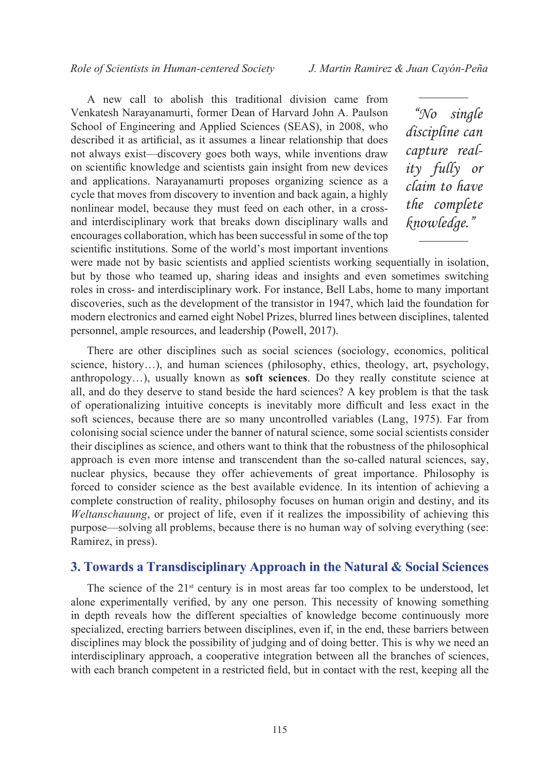A new call to abolish this traditional division came from Venkatesh Narayanamurti, former Dean of Harvard John A. Paulson School of Engineering and Applied Sciences (SEAS), in 2008, who described it as artificial, as it assumes a linear relationship that does not always exist—discovery goes both ways, while inventions draw on scientific knowledge and scientists gain insight from new devices and applications. Narayanamurti proposes organizing science as a cycle that moves from discovery to invention and back again, a highly nonlinear model, because they must feed on each other, in a crossand interdisciplinary work that breaks down disciplinary walls and encourages collaboration, which has been successful in some of the top scientific institutions. Some of the world's most important inventions

*"No single discipline can capture reality fully or claim to have the complete knowledge."*

were made not by basic scientists and applied scientists working sequentially in isolation, but by those who teamed up, sharing ideas and insights and even sometimes switching roles in cross- and interdisciplinary work. For instance, Bell Labs, home to many important discoveries, such as the development of the transistor in 1947, which laid the foundation for modern electronics and earned eight Nobel Prizes, blurred lines between disciplines, talented personnel, ample resources, and leadership (Powell, 2017).

There are other disciplines such as social sciences (sociology, economics, political science, history…), and human sciences (philosophy, ethics, theology, art, psychology, anthropology…), usually known as **soft sciences**. Do they really constitute science at all, and do they deserve to stand beside the hard sciences? A key problem is that the task of operationalizing intuitive concepts is inevitably more difficult and less exact in the soft sciences, because there are so many uncontrolled variables (Lang, 1975). Far from colonising social science under the banner of natural science, some social scientists consider their disciplines as science, and others want to think that the robustness of the philosophical approach is even more intense and transcendent than the so-called natural sciences, say, nuclear physics, because they offer achievements of great importance. Philosophy is forced to consider science as the best available evidence. In its intention of achieving a complete construction of reality, philosophy focuses on human origin and destiny, and its *Weltanschauung*, or project of life, even if it realizes the impossibility of achieving this purpose—solving all problems, because there is no human way of solving everything (see: Ramirez, in press).

### **3. Towards a Transdisciplinary Approach in the Natural & Social Sciences**

The science of the  $21<sup>st</sup>$  century is in most areas far too complex to be understood, let alone experimentally verified, by any one person. This necessity of knowing something in depth reveals how the different specialties of knowledge become continuously more specialized, erecting barriers between disciplines, even if, in the end, these barriers between disciplines may block the possibility of judging and of doing better. This is why we need an interdisciplinary approach, a cooperative integration between all the branches of sciences, with each branch competent in a restricted field, but in contact with the rest, keeping all the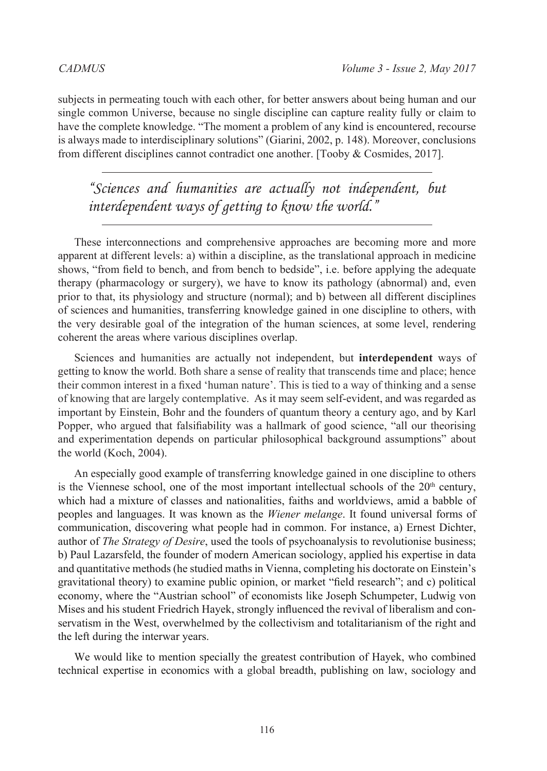subjects in permeating touch with each other, for better answers about being human and our single common Universe, because no single discipline can capture reality fully or claim to have the complete knowledge. "The moment a problem of any kind is encountered, recourse is always made to interdisciplinary solutions" (Giarini, 2002, p. 148). Moreover, conclusions from different disciplines cannot contradict one another. [Tooby & Cosmides, 2017].

*"Sciences and humanities are actually not independent, but interdependent ways of getting to know the world."*

These interconnections and comprehensive approaches are becoming more and more apparent at different levels: a) within a discipline, as the translational approach in medicine shows, "from field to bench, and from bench to bedside", i.e. before applying the adequate therapy (pharmacology or surgery), we have to know its pathology (abnormal) and, even prior to that, its physiology and structure (normal); and b) between all different disciplines of sciences and humanities, transferring knowledge gained in one discipline to others, with the very desirable goal of the integration of the human sciences, at some level, rendering coherent the areas where various disciplines overlap.

Sciences and humanities are actually not independent, but **interdependent** ways of getting to know the world. Both share a sense of reality that transcends time and place; hence their common interest in a fixed 'human nature'. This is tied to a way of thinking and a sense of knowing that are largely contemplative. As it may seem self-evident, and was regarded as important by Einstein, Bohr and the founders of quantum theory a century ago, and by Karl Popper, who argued that falsifiability was a hallmark of good science, "all our theorising and experimentation depends on particular philosophical background assumptions" about the world (Koch, 2004).

An especially good example of transferring knowledge gained in one discipline to others is the Viennese school, one of the most important intellectual schools of the  $20<sup>th</sup>$  century, which had a mixture of classes and nationalities, faiths and worldviews, amid a babble of peoples and languages. It was known as the *Wiener melange*. It found universal forms of communication, discovering what people had in common. For instance, a) Ernest Dichter, author of *The Strategy of Desire*, used the tools of psychoanalysis to revolutionise business; b) Paul Lazarsfeld, the founder of modern American sociology, applied his expertise in data and quantitative methods (he studied maths in Vienna, completing his doctorate on Einstein's gravitational theory) to examine public opinion, or market "field research"; and c) political economy, where the "Austrian school" of economists like Joseph Schumpeter, Ludwig von Mises and his student Friedrich Hayek, strongly influenced the revival of liberalism and conservatism in the West, overwhelmed by the collectivism and totalitarianism of the right and the left during the interwar years.

We would like to mention specially the greatest contribution of Hayek, who combined technical expertise in economics with a global breadth, publishing on law, sociology and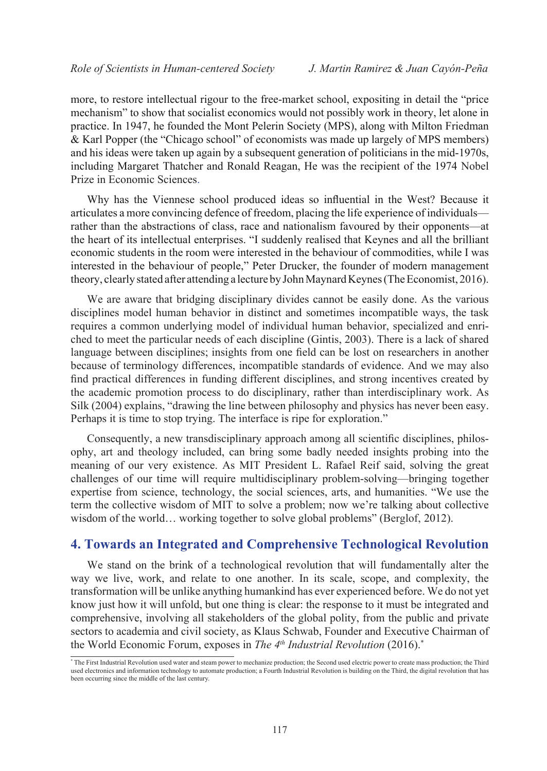more, to restore intellectual rigour to the free-market school, expositing in detail the "price mechanism" to show that socialist economics would not possibly work in theory, let alone in practice. In 1947, he founded the Mont Pelerin Society (MPS), along with Milton Friedman & Karl Popper (the "Chicago school" of economists was made up largely of MPS members) and his ideas were taken up again by a subsequent generation of politicians in the mid-1970s, including Margaret Thatcher and Ronald Reagan, He was the recipient of the 1974 Nobel Prize in Economic Sciences.

Why has the Viennese school produced ideas so influential in the West? Because it articulates a more convincing defence of freedom, placing the life experience of individuals rather than the abstractions of class, race and nationalism favoured by their opponents—at the heart of its intellectual enterprises. "I suddenly realised that Keynes and all the brilliant economic students in the room were interested in the behaviour of commodities, while I was interested in the behaviour of people," Peter Drucker, the founder of modern management theory, clearly stated after attending a lecture by John Maynard Keynes (The Economist, 2016).

We are aware that bridging disciplinary divides cannot be easily done. As the various disciplines model human behavior in distinct and sometimes incompatible ways, the task requires a common underlying model of individual human behavior, specialized and enriched to meet the particular needs of each discipline (Gintis, 2003). There is a lack of shared language between disciplines; insights from one field can be lost on researchers in another because of terminology differences, incompatible standards of evidence. And we may also find practical differences in funding different disciplines, and strong incentives created by the academic promotion process to do disciplinary, rather than interdisciplinary work. As Silk (2004) explains, "drawing the line between philosophy and physics has never been easy. Perhaps it is time to stop trying. The interface is ripe for exploration."

Consequently, a new transdisciplinary approach among all scientific disciplines, philosophy, art and theology included, can bring some badly needed insights probing into the meaning of our very existence. As MIT President L. Rafael Reif said, solving the great challenges of our time will require multidisciplinary problem-solving—bringing together expertise from science, technology, the social sciences, arts, and humanities. "We use the term the collective wisdom of MIT to solve a problem; now we're talking about collective wisdom of the world... working together to solve global problems" (Berglof, 2012).

### **4. Towards an Integrated and Comprehensive Technological Revolution**

We stand on the brink of a technological revolution that will fundamentally alter the way we live, work, and relate to one another. In its scale, scope, and complexity, the transformation will be unlike anything humankind has ever experienced before. We do not yet know just how it will unfold, but one thing is clear: the response to it must be integrated and comprehensive, involving all stakeholders of the global polity, from the public and private sectors to academia and civil society, as Klaus Schwab, Founder and Executive Chairman of the World Economic Forum, exposes in *The 4th Industrial Revolution* (2016).\*

<sup>\*</sup> The First Industrial Revolution used water and steam power to mechanize production; the Second used electric power to create mass production; the Third used electronics and information technology to automate production; a Fourth Industrial Revolution is building on the Third, the digital revolution that has been occurring since the middle of the last century.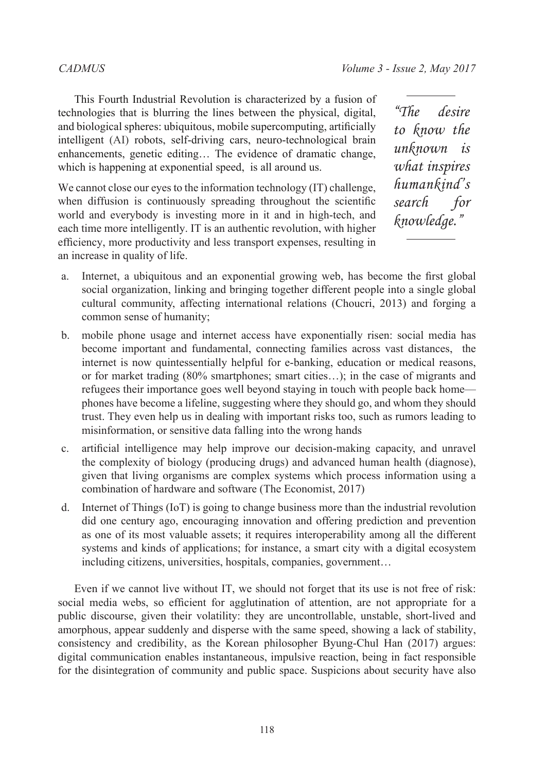This Fourth Industrial Revolution is characterized by a fusion of technologies that is blurring the lines between the physical, digital, and biological spheres: ubiquitous, mobile supercomputing, artificially intelligent (AI) robots, self-driving cars, neuro-technological brain enhancements, genetic editing… The evidence of dramatic change, which is happening at exponential speed, is all around us.

We cannot close our eyes to the information technology (IT) challenge. when diffusion is continuously spreading throughout the scientific world and everybody is investing more in it and in high-tech, and each time more intelligently. IT is an authentic revolution, with higher efficiency, more productivity and less transport expenses, resulting in an increase in quality of life.

*"The desire to know the unknown is what inspires humankind's search for knowledge."*

- a. Internet, a ubiquitous and an exponential growing web, has become the first global social organization, linking and bringing together different people into a single global cultural community, affecting international relations (Choucri, 2013) and forging a common sense of humanity;
- b. mobile phone usage and internet access have exponentially risen: social media has become important and fundamental, connecting families across vast distances, the internet is now quintessentially helpful for e-banking, education or medical reasons, or for market trading  $(80\%$  smartphones; smart cities...); in the case of migrants and refugees their importance goes well beyond staying in touch with people back home phones have become a lifeline, suggesting where they should go, and whom they should trust. They even help us in dealing with important risks too, such as rumors leading to misinformation, or sensitive data falling into the wrong hands
- c. artificial intelligence may help improve our decision-making capacity, and unravel the complexity of biology (producing drugs) and advanced human health (diagnose), given that living organisms are complex systems which process information using a combination of hardware and software (The Economist, 2017)
- d. Internet of Things (IoT) is going to change business more than the industrial revolution did one century ago, encouraging innovation and offering prediction and prevention as one of its most valuable assets; it requires interoperability among all the different systems and kinds of applications; for instance, a smart city with a digital ecosystem including citizens, universities, hospitals, companies, government…

Even if we cannot live without IT, we should not forget that its use is not free of risk: social media webs, so efficient for agglutination of attention, are not appropriate for a public discourse, given their volatility: they are uncontrollable, unstable, short-lived and amorphous, appear suddenly and disperse with the same speed, showing a lack of stability, consistency and credibility, as the Korean philosopher Byung-Chul Han (2017) argues: digital communication enables instantaneous, impulsive reaction, being in fact responsible for the disintegration of community and public space. Suspicions about security have also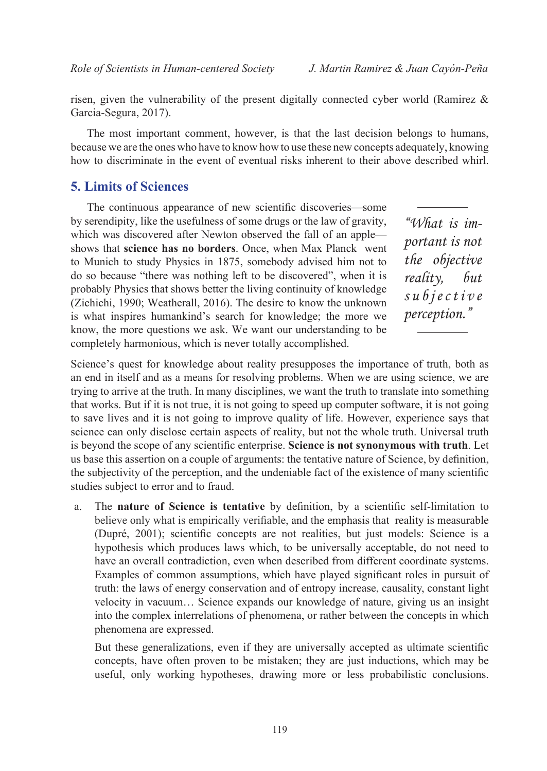risen, given the vulnerability of the present digitally connected cyber world (Ramirez  $\&$ Garcia-Segura, 2017).

The most important comment, however, is that the last decision belongs to humans, because we are the ones who have to know how to use these new concepts adequately, knowing how to discriminate in the event of eventual risks inherent to their above described whirl.

### **5. Limits of Sciences**

The continuous appearance of new scientific discoveries—some by serendipity, like the usefulness of some drugs or the law of gravity, which was discovered after Newton observed the fall of an apple shows that **science has no borders**. Once, when Max Planck went to Munich to study Physics in 1875, somebody advised him not to do so because "there was nothing left to be discovered", when it is probably Physics that shows better the living continuity of knowledge (Zichichi, 1990; Weatherall, 2016). The desire to know the unknown is what inspires humankind's search for knowledge; the more we know, the more questions we ask. We want our understanding to be completely harmonious, which is never totally accomplished.

*"What is important is not the objective reality, but s u b j e c t i v e perception."*

Science's quest for knowledge about reality presupposes the importance of truth, both as an end in itself and as a means for resolving problems. When we are using science, we are trying to arrive at the truth. In many disciplines, we want the truth to translate into something that works. But if it is not true, it is not going to speed up computer software, it is not going to save lives and it is not going to improve quality of life. However, experience says that science can only disclose certain aspects of reality, but not the whole truth. Universal truth is beyond the scope of any scientific enterprise. **Science is not synonymous with truth**. Let us base this assertion on a couple of arguments: the tentative nature of Science, by definition, the subjectivity of the perception, and the undeniable fact of the existence of many scientific studies subject to error and to fraud.

a. The **nature of Science is tentative** by definition, by a scientific self-limitation to believe only what is empirically verifiable, and the emphasis that reality is measurable (Dupré, 2001); scientific concepts are not realities, but just models: Science is a hypothesis which produces laws which, to be universally acceptable, do not need to have an overall contradiction, even when described from different coordinate systems. Examples of common assumptions, which have played significant roles in pursuit of truth: the laws of energy conservation and of entropy increase, causality, constant light velocity in vacuum… Science expands our knowledge of nature, giving us an insight into the complex interrelations of phenomena, or rather between the concepts in which phenomena are expressed.

But these generalizations, even if they are universally accepted as ultimate scientific concepts, have often proven to be mistaken; they are just inductions, which may be useful, only working hypotheses, drawing more or less probabilistic conclusions.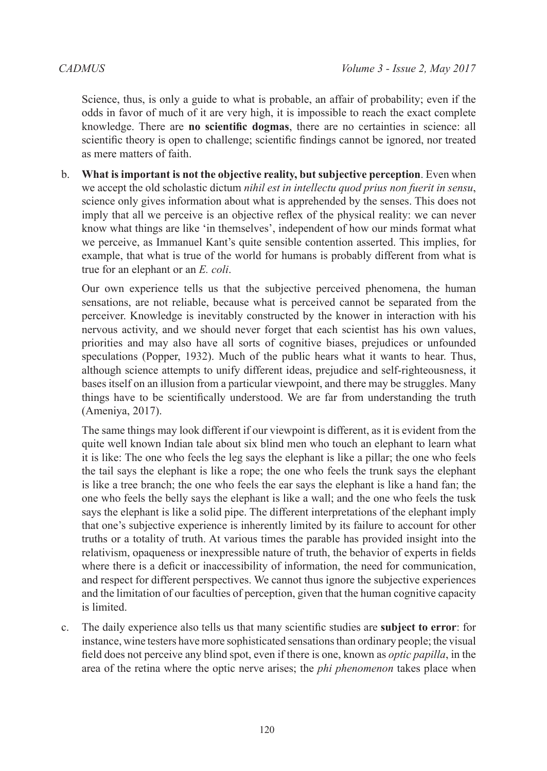Science, thus, is only a guide to what is probable, an affair of probability; even if the odds in favor of much of it are very high, it is impossible to reach the exact complete knowledge. There are **no scientific dogmas**, there are no certainties in science: all scientific theory is open to challenge; scientific findings cannot be ignored, nor treated as mere matters of faith.

b. **What is important is not the objective reality, but subjective perception**. Even when we accept the old scholastic dictum *nihil est in intellectu quod prius non fuerit in sensu*, science only gives information about what is apprehended by the senses. This does not imply that all we perceive is an objective reflex of the physical reality: we can never know what things are like 'in themselves', independent of how our minds format what we perceive, as Immanuel Kant's quite sensible contention asserted. This implies, for example, that what is true of the world for humans is probably different from what is true for an elephant or an *E. coli*.

Our own experience tells us that the subjective perceived phenomena, the human sensations, are not reliable, because what is perceived cannot be separated from the perceiver. Knowledge is inevitably constructed by the knower in interaction with his nervous activity, and we should never forget that each scientist has his own values, priorities and may also have all sorts of cognitive biases, prejudices or unfounded speculations (Popper, 1932). Much of the public hears what it wants to hear. Thus, although science attempts to unify different ideas, prejudice and self-righteousness, it bases itself on an illusion from a particular viewpoint, and there may be struggles. Many things have to be scientifically understood. We are far from understanding the truth (Ameniya, 2017).

The same things may look different if our viewpoint is different, as it is evident from the quite well known Indian tale about six blind men who touch an elephant to learn what it is like: The one who feels the leg says the elephant is like a pillar; the one who feels the tail says the elephant is like a rope; the one who feels the trunk says the elephant is like a tree branch; the one who feels the ear says the elephant is like a hand fan; the one who feels the belly says the elephant is like a wall; and the one who feels the tusk says the elephant is like a solid pipe. The different interpretations of the elephant imply that one's subjective experience is inherently limited by its failure to account for other truths or a totality of truth. At various times the parable has provided insight into the relativism, opaqueness or inexpressible nature of truth, the behavior of experts in fields where there is a deficit or inaccessibility of information, the need for communication, and respect for different perspectives. We cannot thus ignore the subjective experiences and the limitation of our faculties of perception, given that the human cognitive capacity is limited.

c. The daily experience also tells us that many scientific studies are **subject to error**: for instance, wine testers have more sophisticated sensations than ordinary people; the visual field does not perceive any blind spot, even if there is one, known as *optic papilla*, in the area of the retina where the optic nerve arises; the *phi phenomenon* takes place when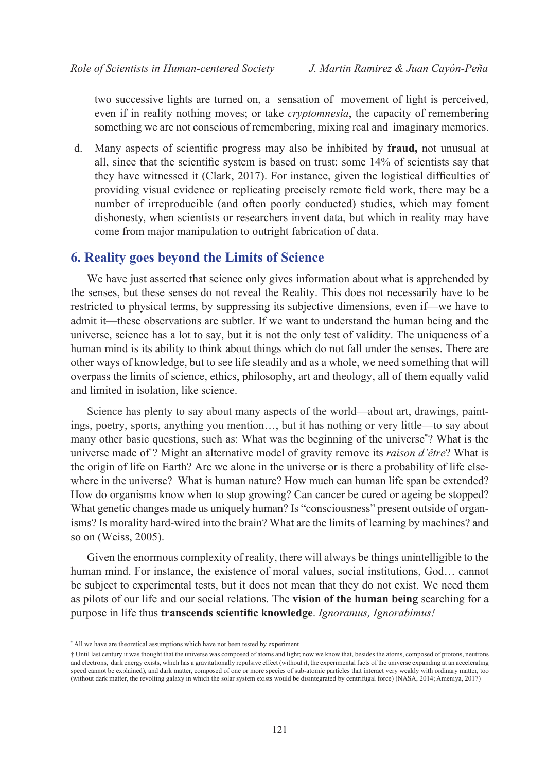two successive lights are turned on, a sensation of movement of light is perceived, even if in reality nothing moves; or take *cryptomnesia*, the capacity of remembering something we are not conscious of remembering, mixing real and imaginary memories.

d. Many aspects of scientific progress may also be inhibited by **fraud,** not unusual at all, since that the scientific system is based on trust: some 14% of scientists say that they have witnessed it (Clark, 2017). For instance, given the logistical difficulties of providing visual evidence or replicating precisely remote field work, there may be a number of irreproducible (and often poorly conducted) studies, which may foment dishonesty, when scientists or researchers invent data, but which in reality may have come from major manipulation to outright fabrication of data.

### **6. Reality goes beyond the Limits of Science**

We have just asserted that science only gives information about what is apprehended by the senses, but these senses do not reveal the Reality. This does not necessarily have to be restricted to physical terms, by suppressing its subjective dimensions, even if—we have to admit it—these observations are subtler. If we want to understand the human being and the universe, science has a lot to say, but it is not the only test of validity. The uniqueness of a human mind is its ability to think about things which do not fall under the senses. There are other ways of knowledge, but to see life steadily and as a whole, we need something that will overpass the limits of science, ethics, philosophy, art and theology, all of them equally valid and limited in isolation, like science.

Science has plenty to say about many aspects of the world—about art, drawings, paintings, poetry, sports, anything you mention…, but it has nothing or very little—to say about many other basic questions, such as: What was the beginning of the universe\* ? What is the universe made of† ? Might an alternative model of gravity remove its *raison d'être*? What is the origin of life on Earth? Are we alone in the universe or is there a probability of life elsewhere in the universe? What is human nature? How much can human life span be extended? How do organisms know when to stop growing? Can cancer be cured or ageing be stopped? What genetic changes made us uniquely human? Is "consciousness" present outside of organisms? Is morality hard-wired into the brain? What are the limits of learning by machines? and so on (Weiss, 2005).

Given the enormous complexity of reality, there will always be things unintelligible to the human mind. For instance, the existence of moral values, social institutions, God… cannot be subject to experimental tests, but it does not mean that they do not exist. We need them as pilots of our life and our social relations. The **vision of the human being** searching for a purpose in life thus **transcends scientific knowledge**. *Ignoramus, Ignorabimus!*

<sup>\*</sup> All we have are theoretical assumptions which have not been tested by experiment

<sup>†</sup> Until last century it was thought that the universe was composed of atoms and light; now we know that, besides the atoms, composed of protons, neutrons and electrons, dark energy exists, which has a gravitationally repulsive effect (without it, the experimental facts of the universe expanding at an accelerating speed cannot be explained), and dark matter, composed of one or more species of sub-atomic particles that interact very weakly with ordinary matter, too (without dark matter, the revolting galaxy in which the solar system exists would be disintegrated by centrifugal force) (NASA, 2014; Ameniya, 2017)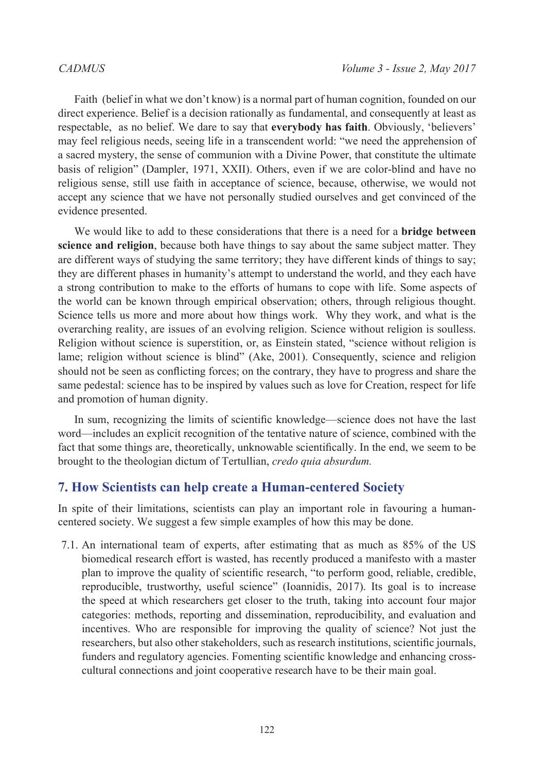Faith (belief in what we don't know) is a normal part of human cognition, founded on our direct experience. Belief is a decision rationally as fundamental, and consequently at least as respectable, as no belief. We dare to say that **everybody has faith**. Obviously, 'believers' may feel religious needs, seeing life in a transcendent world: "we need the apprehension of a sacred mystery, the sense of communion with a Divine Power, that constitute the ultimate basis of religion" (Dampler, 1971, XXII). Others, even if we are color-blind and have no religious sense, still use faith in acceptance of science, because, otherwise, we would not accept any science that we have not personally studied ourselves and get convinced of the evidence presented.

We would like to add to these considerations that there is a need for a **bridge between science and religion**, because both have things to say about the same subject matter. They are different ways of studying the same territory; they have different kinds of things to say; they are different phases in humanity's attempt to understand the world, and they each have a strong contribution to make to the efforts of humans to cope with life. Some aspects of the world can be known through empirical observation; others, through religious thought. Science tells us more and more about how things work. Why they work, and what is the overarching reality, are issues of an evolving religion. Science without religion is soulless. Religion without science is superstition, or, as Einstein stated, "science without religion is lame; religion without science is blind" (Ake, 2001). Consequently, science and religion should not be seen as conflicting forces; on the contrary, they have to progress and share the same pedestal: science has to be inspired by values such as love for Creation, respect for life and promotion of human dignity.

In sum, recognizing the limits of scientific knowledge—science does not have the last word—includes an explicit recognition of the tentative nature of science, combined with the fact that some things are, theoretically, unknowable scientifically. In the end, we seem to be brought to the theologian dictum of Tertullian, *credo quia absurdum.*

### **7. How Scientists can help create a Human-centered Society**

In spite of their limitations, scientists can play an important role in favouring a humancentered society. We suggest a few simple examples of how this may be done.

7.1. An international team of experts, after estimating that as much as 85% of the US biomedical research effort is wasted, has recently produced a manifesto with a master plan to improve the quality of scientific research, "to perform good, reliable, credible, reproducible, trustworthy, useful science" (Ioannidis, 2017). Its goal is to increase the speed at which researchers get closer to the truth, taking into account four major categories: methods, reporting and dissemination, reproducibility, and evaluation and incentives. Who are responsible for improving the quality of science? Not just the researchers, but also other stakeholders, such as research institutions, scientific journals, funders and regulatory agencies. Fomenting scientific knowledge and enhancing crosscultural connections and joint cooperative research have to be their main goal.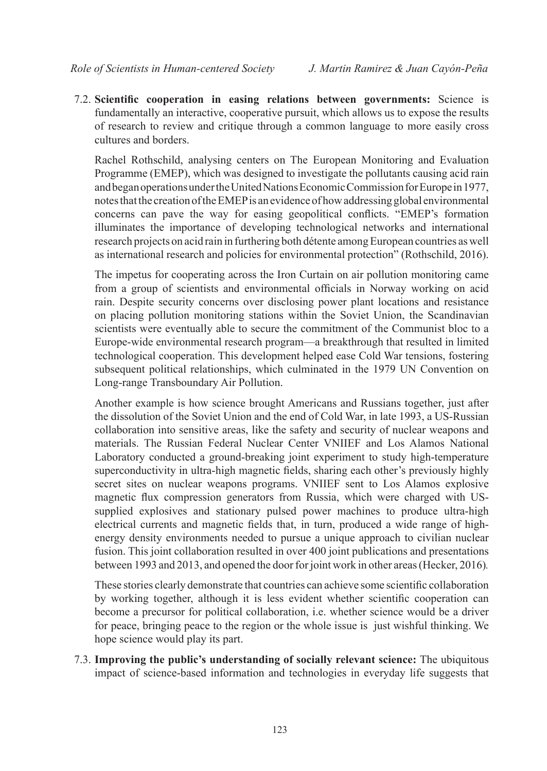7.2. **Scientific cooperation in easing relations between governments:** Science is fundamentally an interactive, cooperative pursuit, which allows us to expose the results of research to review and critique through a common language to more easily cross cultures and borders.

Rachel Rothschild, analysing centers on The European Monitoring and Evaluation Programme (EMEP), which was designed to investigate the pollutants causing acid rain and began operations under the United Nations Economic Commission for Europe in 1977, notes that the creation of the EMEP is an evidence of how addressing global environmental concerns can pave the way for easing geopolitical conflicts. "EMEP's formation illuminates the importance of developing technological networks and international research projects on acid rain in furthering both détente among European countries as well as international research and policies for environmental protection" (Rothschild, 2016).

The impetus for cooperating across the Iron Curtain on air pollution monitoring came from a group of scientists and environmental officials in Norway working on acid rain. Despite security concerns over disclosing power plant locations and resistance on placing pollution monitoring stations within the Soviet Union, the Scandinavian scientists were eventually able to secure the commitment of the Communist bloc to a Europe-wide environmental research program—a breakthrough that resulted in limited technological cooperation. This development helped ease Cold War tensions, fostering subsequent political relationships, which culminated in the 1979 UN Convention on Long-range Transboundary Air Pollution.

Another example is how science brought Americans and Russians together, just after the dissolution of the Soviet Union and the end of Cold War, in late 1993, a US-Russian collaboration into sensitive areas, like the safety and security of nuclear weapons and materials. The Russian Federal Nuclear Center VNIIEF and Los Alamos National Laboratory conducted a ground-breaking joint experiment to study high-temperature superconductivity in ultra-high magnetic fields, sharing each other's previously highly secret sites on nuclear weapons programs. VNIIEF sent to Los Alamos explosive magnetic flux compression generators from Russia, which were charged with USsupplied explosives and stationary pulsed power machines to produce ultra-high electrical currents and magnetic fields that, in turn, produced a wide range of highenergy density environments needed to pursue a unique approach to civilian nuclear fusion. This joint collaboration resulted in over 400 joint publications and presentations between 1993 and 2013, and opened the door for joint work in other areas(Hecker, 2016)*.*

These stories clearly demonstrate that countries can achieve some scientific collaboration by working together, although it is less evident whether scientific cooperation can become a precursor for political collaboration, i.e. whether science would be a driver for peace, bringing peace to the region or the whole issue is just wishful thinking. We hope science would play its part.

7.3. **Improving the public's understanding of socially relevant science:** The ubiquitous impact of science-based information and technologies in everyday life suggests that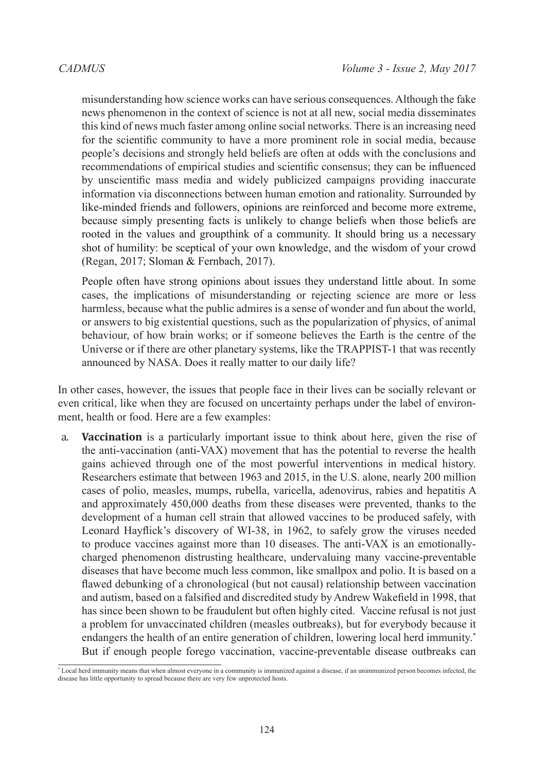misunderstanding how science works can have serious consequences. Although the fake news phenomenon in the context of science is not at all new, social media disseminates this kind of news much faster among online social networks. There is an increasing need for the scientific community to have a more prominent role in social media, because people's decisions and strongly held beliefs are often at odds with the conclusions and recommendations of empirical studies and scientific consensus; they can be influenced by unscientific mass media and widely publicized campaigns providing inaccurate information via disconnections between human emotion and rationality. Surrounded by like-minded friends and followers, opinions are reinforced and become more extreme, because simply presenting facts is unlikely to change beliefs when those beliefs are rooted in the values and groupthink of a community. It should bring us a necessary shot of humility: be sceptical of your own knowledge, and the wisdom of your crowd (Regan, 2017; Sloman & Fernbach, 2017).

People often have strong opinions about issues they understand little about. In some cases, the implications of misunderstanding or rejecting science are more or less harmless, because what the public admires is a sense of wonder and fun about the world, or answers to big existential questions, such as the popularization of physics, of animal behaviour, of how brain works; or if someone believes the Earth is the centre of the Universe or if there are other planetary systems, like the TRAPPIST-1 that was recently announced by NASA. Does it really matter to our daily life?

In other cases, however, the issues that people face in their lives can be socially relevant or even critical, like when they are focused on uncertainty perhaps under the label of environment, health or food. Here are a few examples:

a. **Vaccination** is a particularly important issue to think about here, given the rise of the anti-vaccination (anti-VAX) movement that has the potential to reverse the health gains achieved through one of the most powerful interventions in medical history. Researchers estimate that between 1963 and 2015, in the U.S. alone, nearly 200 million cases of polio, measles, mumps, rubella, varicella, adenovirus, rabies and hepatitis A and approximately 450,000 deaths from these diseases were prevented, thanks to the development of a human cell strain that allowed vaccines to be produced safely, with Leonard Hayflick's discovery of WI-38, in 1962, to safely grow the viruses needed to produce vaccines against more than 10 diseases. The anti-VAX is an emotionallycharged phenomenon distrusting healthcare, undervaluing many vaccine-preventable diseases that have become much less common, like smallpox and polio. It is based on a flawed debunking of a chronological (but not causal) relationship between vaccination and autism, based on a falsified and discredited study by Andrew Wakefield in 1998, that has since been shown to be fraudulent but often highly cited. Vaccine refusal is not just a problem for unvaccinated children (measles outbreaks), but for everybody because it endangers the health of an entire generation of children, lowering local herd immunity.\* But if enough people forego vaccination, vaccine-preventable disease outbreaks can

<sup>\*</sup> Local herd immunity means that when almost everyone in a community is immunized against a disease, if an unimmunized person becomes infected, the disease has little opportunity to spread because there are very few unprotected hosts.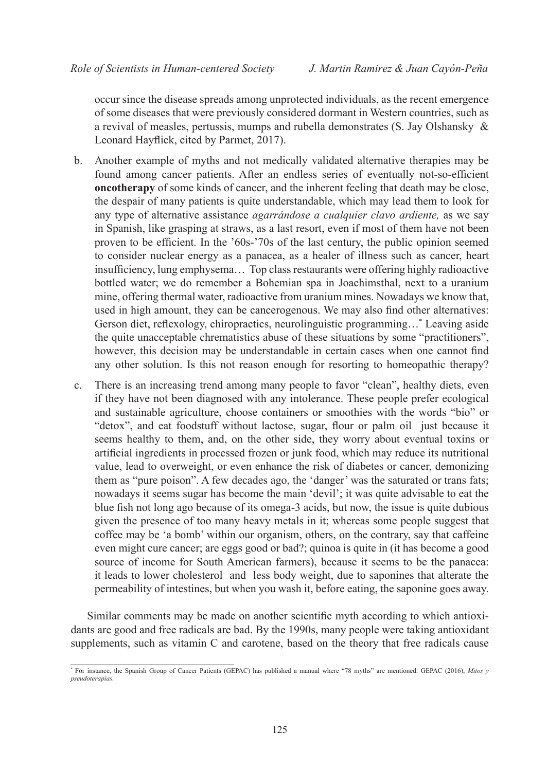occur since the disease spreads among unprotected individuals, as the recent emergence of some diseases that were previously considered dormant in Western countries, such as a revival of measles, pertussis, mumps and rubella demonstrates (S. Jay Olshansky & Leonard Hayflick, cited by Parmet, 2017).

- b. Another example of myths and not medically validated alternative therapies may be found among cancer patients. After an endless series of eventually not-so-efficient **oncotherapy** of some kinds of cancer, and the inherent feeling that death may be close, the despair of many patients is quite understandable, which may lead them to look for any type of alternative assistance *agarrándose a cualquier clavo ardiente,* as we say in Spanish, like grasping at straws, as a last resort, even if most of them have not been proven to be efficient. In the '60s-'70s of the last century, the public opinion seemed to consider nuclear energy as a panacea, as a healer of illness such as cancer, heart insufficiency, lung emphysema… Top class restaurants were offering highly radioactive bottled water; we do remember a Bohemian spa in Joachimsthal, next to a uranium mine, offering thermal water, radioactive from uranium mines. Nowadays we know that, used in high amount, they can be cancerogenous. We may also find other alternatives: Gerson diet, reflexology, chiropractics, neurolinguistic programming…\* Leaving aside the quite unacceptable chrematistics abuse of these situations by some "practitioners", however, this decision may be understandable in certain cases when one cannot find any other solution. Is this not reason enough for resorting to homeopathic therapy?
- c. There is an increasing trend among many people to favor "clean", healthy diets, even if they have not been diagnosed with any intolerance. These people prefer ecological and sustainable agriculture, choose containers or smoothies with the words "bio" or "detox", and eat foodstuff without lactose, sugar, flour or palm oil just because it seems healthy to them, and, on the other side, they worry about eventual toxins or artificial ingredients in processed frozen or junk food, which may reduce its nutritional value, lead to overweight, or even enhance the risk of diabetes or cancer, demonizing them as "pure poison". A few decades ago, the 'danger' was the saturated or trans fats; nowadays it seems sugar has become the main 'devil'; it was quite advisable to eat the blue fish not long ago because of its omega-3 acids, but now, the issue is quite dubious given the presence of too many heavy metals in it; whereas some people suggest that coffee may be 'a bomb' within our organism, others, on the contrary, say that caffeine even might cure cancer; are eggs good or bad?; quinoa is quite in (it has become a good source of income for South American farmers), because it seems to be the panacea: it leads to lower cholesterol and less body weight, due to saponines that alterate the permeability of intestines, but when you wash it, before eating, the saponine goes away.

Similar comments may be made on another scientific myth according to which antioxidants are good and free radicals are bad. By the 1990s, many people were taking antioxidant supplements, such as vitamin C and carotene, based on the theory that free radicals cause

<sup>\*</sup> For instance, the Spanish Group of Cancer Patients (GEPAC) has published a manual where "78 myths" are mentioned. GEPAC (2016), *Mitos y pseudoterapias.*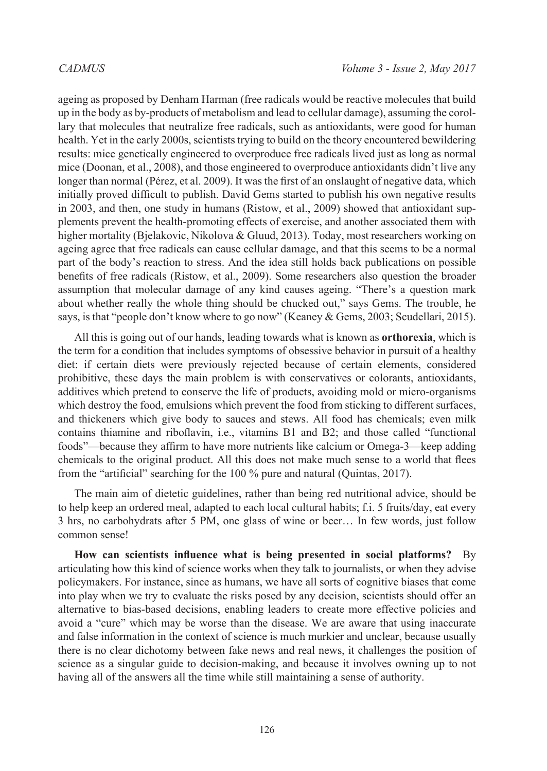ageing as proposed by Denham Harman (free radicals would be reactive molecules that build up in the body as by-products of metabolism and lead to cellular damage), assuming the corollary that molecules that neutralize free radicals, such as antioxidants, were good for human health. Yet in the early 2000s, scientists trying to build on the theory encountered bewildering results: mice genetically engineered to overproduce free radicals lived just as long as normal mice (Doonan, et al., 2008), and those engineered to overproduce antioxidants didn't live any longer than normal (Pérez, et al. 2009). It was the first of an onslaught of negative data, which initially proved difficult to publish. David Gems started to publish his own negative results in 2003, and then, one study in humans (Ristow, et al., 2009) showed that antioxidant supplements prevent the health-promoting effects of exercise, and another associated them with higher mortality (Bjelakovic, Nikolova & Gluud, 2013). Today, most researchers working on ageing agree that free radicals can cause cellular damage, and that this seems to be a normal part of the body's reaction to stress. And the idea still holds back publications on possible benefits of free radicals (Ristow, et al., 2009). Some researchers also question the broader assumption that molecular damage of any kind causes ageing. "There's a question mark about whether really the whole thing should be chucked out," says Gems. The trouble, he says, is that "people don't know where to go now" (Keaney & Gems, 2003; Scudellari, 2015).

All this is going out of our hands, leading towards what is known as **orthorexia**, which is the term for a condition that includes symptoms of obsessive behavior in pursuit of a healthy diet: if certain diets were previously rejected because of certain elements, considered prohibitive, these days the main problem is with conservatives or colorants, antioxidants, additives which pretend to conserve the life of products, avoiding mold or micro-organisms which destroy the food, emulsions which prevent the food from sticking to different surfaces, and thickeners which give body to sauces and stews. All food has chemicals; even milk contains thiamine and riboflavin, i.e., vitamins B1 and B2; and those called "functional foods"—because they affirm to have more nutrients like calcium or Omega-3—keep adding chemicals to the original product. All this does not make much sense to a world that flees from the "artificial" searching for the 100 % pure and natural (Quintas, 2017).

The main aim of dietetic guidelines, rather than being red nutritional advice, should be to help keep an ordered meal, adapted to each local cultural habits; f.i. 5 fruits/day, eat every 3 hrs, no carbohydrats after 5 PM, one glass of wine or beer… In few words, just follow common sense!

**How can scientists influence what is being presented in social platforms?** By articulating how this kind of science works when they talk to journalists, or when they advise policymakers. For instance, since as humans, we have all sorts of cognitive biases that come into play when we try to evaluate the risks posed by any decision, scientists should offer an alternative to bias-based decisions, enabling leaders to create more effective policies and avoid a "cure" which may be worse than the disease. We are aware that using inaccurate and false information in the context of science is much murkier and unclear, because usually there is no clear dichotomy between fake news and real news, it challenges the position of science as a singular guide to decision-making, and because it involves owning up to not having all of the answers all the time while still maintaining a sense of authority.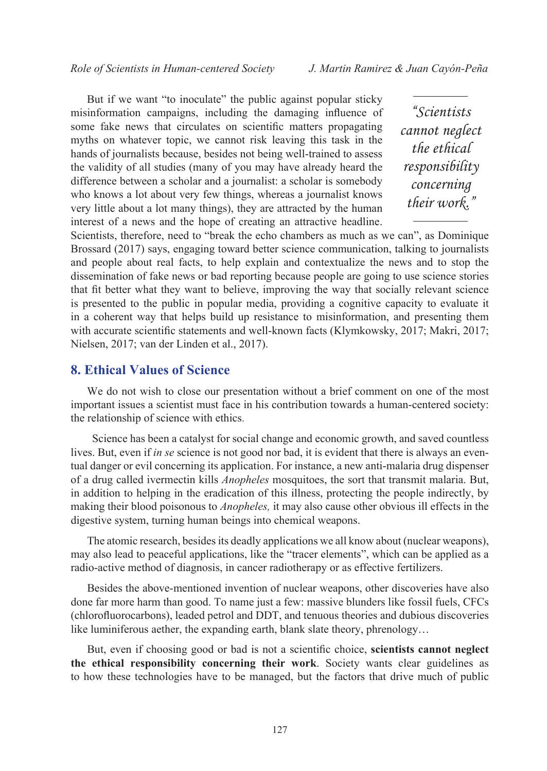But if we want "to inoculate" the public against popular sticky misinformation campaigns, including the damaging influence of some fake news that circulates on scientific matters propagating myths on whatever topic, we cannot risk leaving this task in the hands of journalists because, besides not being well-trained to assess the validity of all studies (many of you may have already heard the difference between a scholar and a journalist: a scholar is somebody who knows a lot about very few things, whereas a journalist knows very little about a lot many things), they are attracted by the human interest of a news and the hope of creating an attractive headline.

*"Scientists cannot neglect the ethical responsibility concerning their work."*

Scientists, therefore, need to "break the echo chambers as much as we can", as Dominique Brossard (2017) says, engaging toward better science communication, talking to journalists and people about real facts, to help explain and contextualize the news and to stop the dissemination of fake news or bad reporting because people are going to use science stories that fit better what they want to believe, improving the way that socially relevant science is presented to the public in popular media, providing a cognitive capacity to evaluate it in a coherent way that helps build up resistance to misinformation, and presenting them with accurate scientific statements and well-known facts (Klymkowsky, 2017; Makri, 2017; Nielsen, 2017; van der Linden et al., 2017).

# **8. Ethical Values of Science**

We do not wish to close our presentation without a brief comment on one of the most important issues a scientist must face in his contribution towards a human-centered society: the relationship of science with ethics.

 Science has been a catalyst for social change and economic growth, and saved countless lives. But, even if *in se* science is not good nor bad, it is evident that there is always an eventual danger or evil concerning its application. For instance, a new anti-malaria drug dispenser of a drug called ivermectin kills *Anopheles* mosquitoes, the sort that transmit malaria. But, in addition to helping in the eradication of this illness, protecting the people indirectly, by making their blood poisonous to *Anopheles,* it may also cause other obvious ill effects in the digestive system, turning human beings into chemical weapons.

The atomic research, besides its deadly applications we all know about (nuclear weapons), may also lead to peaceful applications, like the "tracer elements", which can be applied as a radio-active method of diagnosis, in cancer radiotherapy or as effective fertilizers.

Besides the above-mentioned invention of nuclear weapons, other discoveries have also done far more harm than good. To name just a few: massive blunders like fossil fuels, CFCs (chlorofluorocarbons), leaded petrol and DDT, and tenuous theories and dubious discoveries like luminiferous aether, the expanding earth, blank slate theory, phrenology…

But, even if choosing good or bad is not a scientific choice, **scientists cannot neglect the ethical responsibility concerning their work**. Society wants clear guidelines as to how these technologies have to be managed, but the factors that drive much of public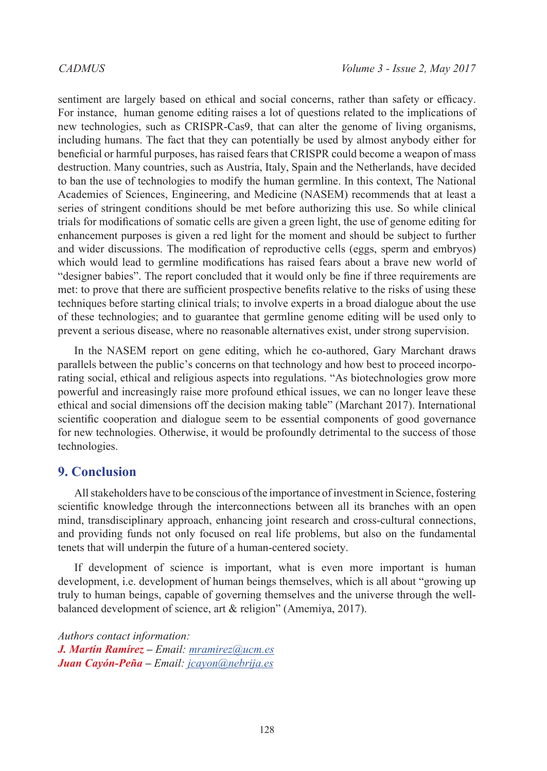sentiment are largely based on ethical and social concerns, rather than safety or efficacy. For instance, human genome editing raises a lot of questions related to the implications of new technologies, such as CRISPR-Cas9, that can alter the genome of living organisms, including humans. The fact that they can potentially be used by almost anybody either for beneficial or harmful purposes, has raised fears that CRISPR could become a weapon of mass destruction. Many countries, such as Austria, Italy, Spain and the Netherlands, have decided to ban the use of technologies to modify the human germline. In this context, The National Academies of Sciences, Engineering, and Medicine (NASEM) recommends that at least a series of stringent conditions should be met before authorizing this use. So while clinical trials for modifications of somatic cells are given a green light, the use of genome editing for enhancement purposes is given a red light for the moment and should be subject to further and wider discussions. The modification of reproductive cells (eggs, sperm and embryos) which would lead to germline modifications has raised fears about a brave new world of "designer babies". The report concluded that it would only be fine if three requirements are met: to prove that there are sufficient prospective benefits relative to the risks of using these techniques before starting clinical trials; to involve experts in a broad dialogue about the use of these technologies; and to guarantee that germline genome editing will be used only to prevent a serious disease, where no reasonable alternatives exist, under strong supervision.

In the NASEM report on gene editing, which he co-authored, Gary Marchant draws parallels between the public's concerns on that technology and how best to proceed incorporating social, ethical and religious aspects into regulations. "As biotechnologies grow more powerful and increasingly raise more profound ethical issues, we can no longer leave these ethical and social dimensions off the decision making table" (Marchant 2017). International scientific cooperation and dialogue seem to be essential components of good governance for new technologies. Otherwise, it would be profoundly detrimental to the success of those technologies.

# **9. Conclusion**

All stakeholders have to be conscious of the importance of investment in Science, fostering scientific knowledge through the interconnections between all its branches with an open mind, transdisciplinary approach, enhancing joint research and cross-cultural connections, and providing funds not only focused on real life problems, but also on the fundamental tenets that will underpin the future of a human-centered society.

If development of science is important, what is even more important is human development, i.e. development of human beings themselves, which is all about "growing up truly to human beings, capable of governing themselves and the universe through the wellbalanced development of science, art & religion" (Amemiya, 2017).

*Authors contact information: J. Martín Ramírez – Email: [mramirez@ucm.es](mailto:mramirez%40ucm.es?subject=) Juan Cayón-Peña – Email: [jcayon@nebrija.es](mailto:jcayon%40nebrija.es?subject=)*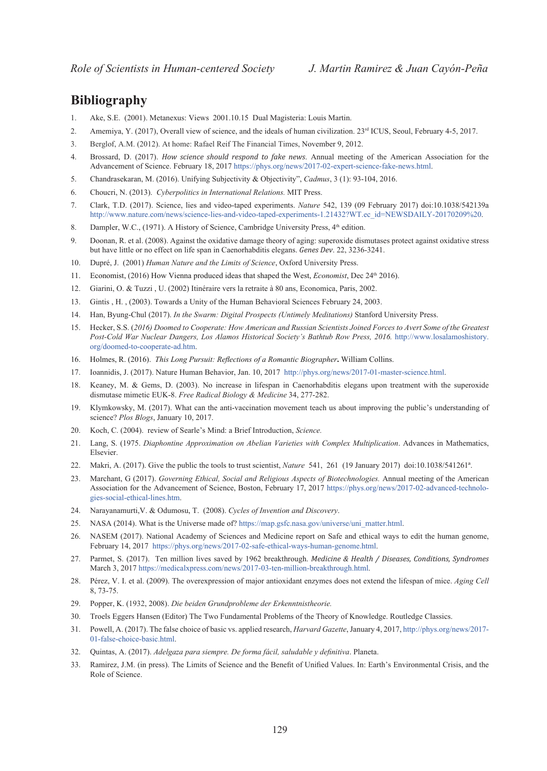# **Bibliography**

- 1. Ake, S.E. (2001). Metanexus: Views 2001.10.15 Dual Magisteria: Louis Martin.
- 2. Amemiya, Y. (2017), Overall view of science, and the ideals of human civilization.  $23<sup>rd</sup>$  ICUS, Seoul, February 4-5, 2017.
- 3. Berglof, A.M. (2012). At home: Rafael Reif The Financial Times, November 9, 2012.
- 4. Brossard, D. (2017). *How science should respond to fake news*. Annual meeting of the American Association for the Advancement of Science. February 18, 2017 [https://phys.org/news/2017-02-expert-science-fake-news.html.](https://phys.org/news/2017-02-expert-science-fake-news.html)
- 5. Chandrasekaran, M. (2016). Unifying Subjectivity & Objectivity", *Cadmus*, 3 (1): 93-104, 2016.
- 6. Choucri, N. (2013). *Cyberpolitics in International Relations.* MIT Press.
- 7. Clark, T.D. (2017). Science, lies and video-taped experiments. *Nature* 542, 139 (09 February 2017) doi:10.1038/542139a [http://www.nature.com/news/science-lies-and-video-taped-experiments-1.21432?WT.ec\\_id=NEWSDAILY-20170209%20](http://www.nature.com/news/science-lies-and-video-taped-experiments-1.21432?WT.ec_id=NEWSDAILY-20170209%20).
- 8. Dampler, W.C., (1971). A History of Science, Cambridge University Press, 4<sup>th</sup> edition.
- 9. Doonan, R. et al. (2008). [Against the oxidative damage theory of aging: superoxide dismutases protect against oxidative stress](http://genesdev.cshlp.org/content/22/23/3236.short)  [but have little or no effect on life span in Caenorhabditis elegans](http://genesdev.cshlp.org/content/22/23/3236.short). *Genes Dev*. 22, 3236-3241.
- 10. Dupré, J. (2001) *Human Nature and the Limits of Science*, Oxford University Press.
- 11. Economist, (2016) How Vienna produced ideas that shaped the West, *Economist*, Dec 24th 2016).
- 12. Giarini, O. & Tuzzi , U. (2002) Itinéraire vers la retraite à 80 ans, Economica, Paris, 2002.
- 13. Gintis , H. , (2003). Towards a Unity of the Human Behavioral Sciences February 24, 2003.
- 14. [Han](http://elpais.com/tag/byung_chul_han/a), Byung-Chul (2017). *In the Swarm: Digital Prospects (Untimely Meditations)* [Stanford University Press.](http://www.sup.org/books/title/?id=25725)
- 15. Hecker, S.S. (*2016) Doomed to Cooperate: How American and Russian Scientists Joined Forces to Avert Some of the Greatest*  Post-Cold War Nuclear Dangers, Los Alamos Historical Society's Bathtub Row Press, 2016. [http://www.losalamoshistory.](http://www.losalamoshistory.org/doomed-to-cooperate-ad.htm) [org/doomed-to-cooperate-ad.htm](http://www.losalamoshistory.org/doomed-to-cooperate-ad.htm).
- 16. Holmes, R. (2016). *This Long Pursuit: Reflections of a Romantic Biographer***.** William Collins.
- 17. Ioannidis, J. (2017). Nature Human Behavior, Jan. 10, 2017 [http://phys.org/news/2017-01-master-science.html.](http://phys.org/news/2017-01-master-science.html)
- 18. Keaney, M. & Gems, D. (2003). No increase in lifespan in Caenorhabditis elegans upon treatment with the superoxide dismutase mimetic EUK-8. *Free Radical Biology & Medicine* 34, 277-282.
- 19. Klymkowsky, M. (2017). What can the anti-vaccination movement teach us about improving the public's understanding of science? *Plos Blogs*, January 10, 2017.
- 20. Koch, C. (2004). review of Searle's Mind: a Brief Introduction, *Science.*
- 21. Lang, S. (1975. *Diaphontine Approximation on Abelian Varieties with Complex Multiplication*. Advances in Mathematics, Elsevier.
- 22. Makri, A. (2017). Give the public the tools to trust scientist, *Nature* 541, 261 (19 January 2017) doi:10.1038/541261ª.
- 23. Marchant, G (2017). *Governing Ethical, Social and Religious Aspects of Biotechnologies.* Annual meeting of the American Association for the Advancement of Science, Boston, February 17, 2017 [https://phys.org/news/2017-02-advanced-technolo](https://phys.org/news/2017-02-advanced-technologies-social-ethical-lines.html)[gies-social-ethical-lines.htm](https://phys.org/news/2017-02-advanced-technologies-social-ethical-lines.html).
- 24. Narayanamurti,V. & Odumosu, T. (2008). *Cycles of Invention and Discovery*.
- 25. NASA (2014). What is the Universe made of? [https://map.gsfc.nasa.gov/universe/uni\\_matter.html](https://map.gsfc.nasa.gov/universe/uni_matter.html).
- 26. NASEM (2017). National Academy of Sciences and Medicine report on Safe and ethical ways to edit the human genome, February 14, 2017 [https://phys.org/news/2017-02-safe-ethical-ways-human-genome.html.](https://phys.org/news/2017-02-safe-ethical-ways-human-genome.html)
- 27. Parmet, S. (2017). Ten million lives saved by 1962 breakthrough. *Medicine & Health / Diseases, Conditions, Syndromes*  March 3, 2017 [https://medicalxpress.com/news/2017-03-ten-million-breakthrough.html.](https://medicalxpress.com/news/2017-03-ten-million-breakthrough.html)
- 28. Pérez, V. I. et al. (2009). The overexpression of major antioxidant enzymes does not extend the lifespan of mice. *Aging Cell* 8, 73-75.
- 29. Popper, K. (1932, 2008). *Die beiden Grundprobleme der Erkenntnistheorie.*
- 30. [Troels Eggers Hansen](https://www.amazon.com/s/ref=dp_byline_sr_book_2?ie=UTF8&field-author=Troels+Eggers+Hansen&search-alias=books&text=Troels+Eggers+Hansen&sort=relevancerank) (Editor) The Two Fundamental Problems of the Theory of Knowledge. Routledge Classics.
- 31. Powell, A. (2017). The false choice of basic vs. applied research, *Harvard Gazette*, January 4, 2017, [http://phys.org/news/2017-](http://phys.org/news/2017-01-false-choice-basic.html) [01-false-choice-basic.html.](http://phys.org/news/2017-01-false-choice-basic.html)
- 32. Quintas, A. (2017). *Adelgaza para siempre. De forma fácil, saludable y definitiva*. Planeta.
- 33. Ramirez, J.M. (in press). The Limits of Science and the Benefit of Unified Values. In: Earth's Environmental Crisis, and the Role of Science.